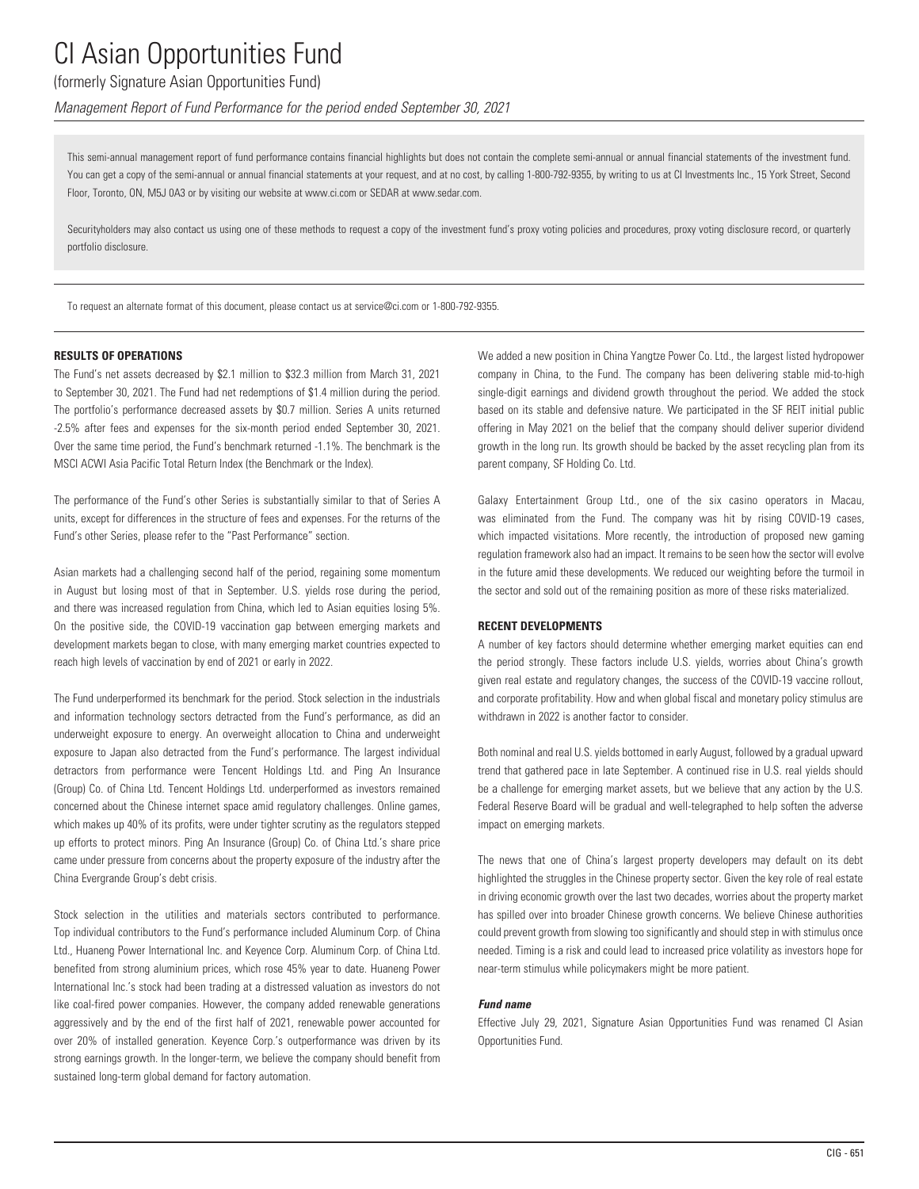## (formerly Signature Asian Opportunities Fund)

*Management Report of Fund Performance for the period ended September 30, 2021*

This semi-annual management report of fund performance contains financial highlights but does not contain the complete semi-annual or annual financial statements of the investment fund. You can get a copy of the semi-annual or annual financial statements at your request, and at no cost, by calling 1-800-792-9355, by writing to us at CI Investments Inc., 15 York Street, Second Floor, Toronto, ON, M5J 0A3 or by visiting our website at www.ci.com or SEDAR at www.sedar.com.

Securityholders may also contact us using one of these methods to request a copy of the investment fund's proxy voting policies and procedures, proxy voting disclosure record, or quarterly portfolio disclosure.

To request an alternate format of this document, please contact us at service@ci.com or 1-800-792-9355.

#### **RESULTS OF OPERATIONS**

The Fund's net assets decreased by \$2.1 million to \$32.3 million from March 31, 2021 to September 30, 2021. The Fund had net redemptions of \$1.4 million during the period. The portfolio's performance decreased assets by \$0.7 million. Series A units returned -2.5% after fees and expenses for the six-month period ended September 30, 2021. Over the same time period, the Fund's benchmark returned -1.1%. The benchmark is the MSCI ACWI Asia Pacific Total Return Index (the Benchmark or the Index).

The performance of the Fund's other Series is substantially similar to that of Series A units, except for differences in the structure of fees and expenses. For the returns of the Fund's other Series, please refer to the "Past Performance" section.

Asian markets had a challenging second half of the period, regaining some momentum in August but losing most of that in September. U.S. yields rose during the period, and there was increased regulation from China, which led to Asian equities losing 5%. On the positive side, the COVID-19 vaccination gap between emerging markets and development markets began to close, with many emerging market countries expected to reach high levels of vaccination by end of 2021 or early in 2022.

The Fund underperformed its benchmark for the period. Stock selection in the industrials and information technology sectors detracted from the Fund's performance, as did an underweight exposure to energy. An overweight allocation to China and underweight exposure to Japan also detracted from the Fund's performance. The largest individual detractors from performance were Tencent Holdings Ltd. and Ping An Insurance (Group) Co. of China Ltd. Tencent Holdings Ltd. underperformed as investors remained concerned about the Chinese internet space amid regulatory challenges. Online games, which makes up 40% of its profits, were under tighter scrutiny as the regulators stepped up efforts to protect minors. Ping An Insurance (Group) Co. of China Ltd.'s share price came under pressure from concerns about the property exposure of the industry after the China Evergrande Group's debt crisis.

Stock selection in the utilities and materials sectors contributed to performance. Top individual contributors to the Fund's performance included Aluminum Corp. of China Ltd., Huaneng Power International Inc. and Keyence Corp. Aluminum Corp. of China Ltd. benefited from strong aluminium prices, which rose 45% year to date. Huaneng Power International Inc.'s stock had been trading at a distressed valuation as investors do not like coal-fired power companies. However, the company added renewable generations aggressively and by the end of the first half of 2021, renewable power accounted for over 20% of installed generation. Keyence Corp.'s outperformance was driven by its strong earnings growth. In the longer-term, we believe the company should benefit from sustained long-term global demand for factory automation.

We added a new position in China Yangtze Power Co. Ltd., the largest listed hydropower company in China, to the Fund. The company has been delivering stable mid-to-high single-digit earnings and dividend growth throughout the period. We added the stock based on its stable and defensive nature. We participated in the SF REIT initial public offering in May 2021 on the belief that the company should deliver superior dividend growth in the long run. Its growth should be backed by the asset recycling plan from its parent company, SF Holding Co. Ltd.

Galaxy Entertainment Group Ltd., one of the six casino operators in Macau, was eliminated from the Fund. The company was hit by rising COVID-19 cases, which impacted visitations. More recently, the introduction of proposed new gaming regulation framework also had an impact. It remains to be seen how the sector will evolve in the future amid these developments. We reduced our weighting before the turmoil in the sector and sold out of the remaining position as more of these risks materialized.

#### **RECENT DEVELOPMENTS**

A number of key factors should determine whether emerging market equities can end the period strongly. These factors include U.S. yields, worries about China's growth given real estate and regulatory changes, the success of the COVID-19 vaccine rollout, and corporate profitability. How and when global fiscal and monetary policy stimulus are withdrawn in 2022 is another factor to consider.

Both nominal and real U.S. yields bottomed in early August, followed by a gradual upward trend that gathered pace in late September. A continued rise in U.S. real yields should be a challenge for emerging market assets, but we believe that any action by the U.S. Federal Reserve Board will be gradual and well-telegraphed to help soften the adverse impact on emerging markets.

The news that one of China's largest property developers may default on its debt highlighted the struggles in the Chinese property sector. Given the key role of real estate in driving economic growth over the last two decades, worries about the property market has spilled over into broader Chinese growth concerns. We believe Chinese authorities could prevent growth from slowing too significantly and should step in with stimulus once needed. Timing is a risk and could lead to increased price volatility as investors hope for near-term stimulus while policymakers might be more patient.

#### *Fund name*

Effective July 29, 2021, Signature Asian Opportunities Fund was renamed CI Asian Opportunities Fund.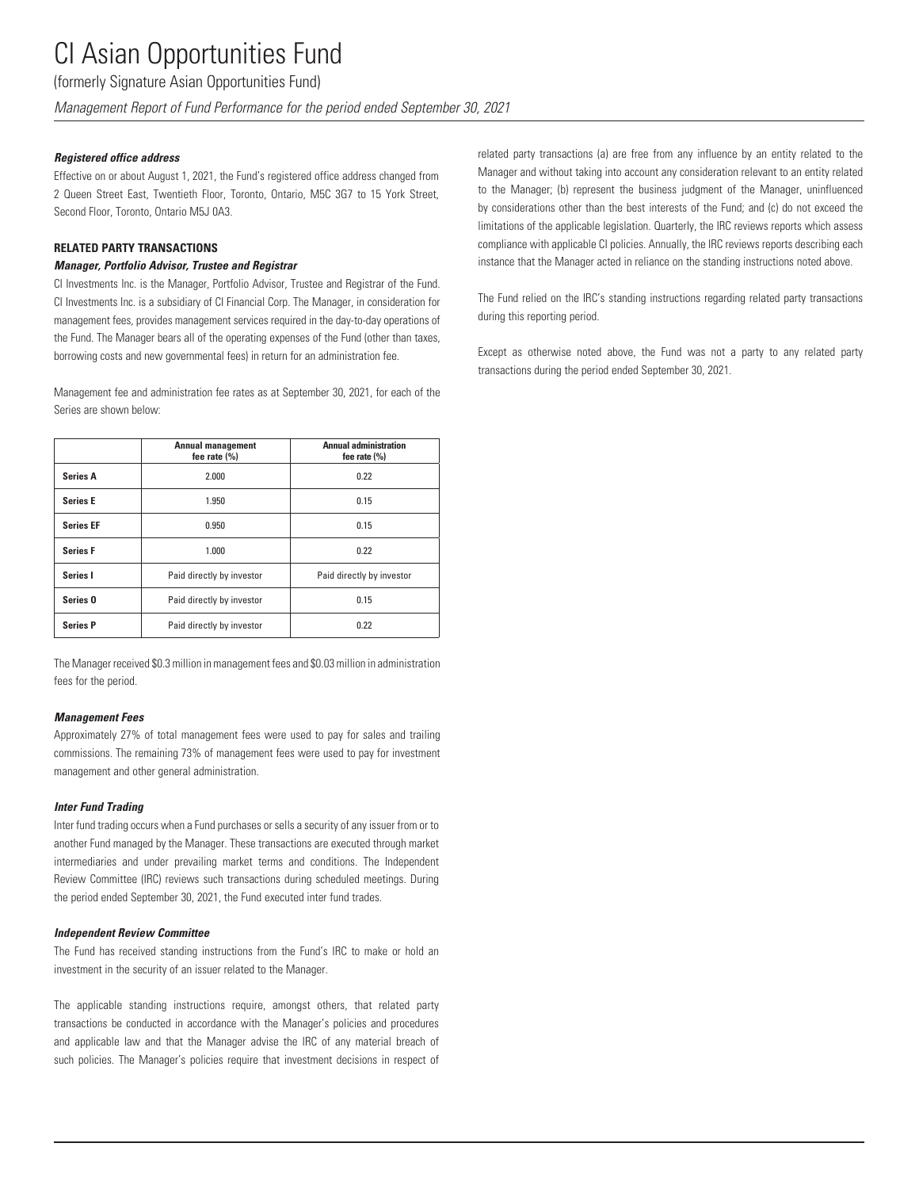(formerly Signature Asian Opportunities Fund)

*Management Report of Fund Performance for the period ended September 30, 2021*

### *Registered office address*

Effective on or about August 1, 2021, the Fund's registered office address changed from 2 Queen Street East, Twentieth Floor, Toronto, Ontario, M5C 3G7 to 15 York Street, Second Floor, Toronto, Ontario M5J 0A3.

## **RELATED PARTY TRANSACTIONS**

### *Manager, Portfolio Advisor, Trustee and Registrar*

CI Investments Inc. is the Manager, Portfolio Advisor, Trustee and Registrar of the Fund. CI Investments Inc. is a subsidiary of CI Financial Corp. The Manager, in consideration for management fees, provides management services required in the day-to-day operations of the Fund. The Manager bears all of the operating expenses of the Fund (other than taxes, borrowing costs and new governmental fees) in return for an administration fee.

Management fee and administration fee rates as at September 30, 2021, for each of the Series are shown below:

|                     | <b>Annual management</b><br>fee rate $(\% )$ | <b>Annual administration</b><br>fee rate $(\% )$ |
|---------------------|----------------------------------------------|--------------------------------------------------|
| <b>Series A</b>     | 2.000                                        | 0.22                                             |
| <b>Series E</b>     | 1.950                                        | 0.15                                             |
| <b>Series EF</b>    | 0.950                                        | 0.15                                             |
| <b>Series F</b>     | 1.000                                        | 0.22                                             |
| Series I            | Paid directly by investor                    | Paid directly by investor                        |
| Series <sub>0</sub> | Paid directly by investor                    | 0.15                                             |
| <b>Series P</b>     | Paid directly by investor                    | 0.22                                             |

The Manager received \$0.3 million in management fees and \$0.03 million in administration fees for the period.

### *Management Fees*

Approximately 27% of total management fees were used to pay for sales and trailing commissions. The remaining 73% of management fees were used to pay for investment management and other general administration.

### *Inter Fund Trading*

Inter fund trading occurs when a Fund purchases or sells a security of any issuer from or to another Fund managed by the Manager. These transactions are executed through market intermediaries and under prevailing market terms and conditions. The Independent Review Committee (IRC) reviews such transactions during scheduled meetings. During the period ended September 30, 2021, the Fund executed inter fund trades.

### *Independent Review Committee*

The Fund has received standing instructions from the Fund's IRC to make or hold an investment in the security of an issuer related to the Manager.

The applicable standing instructions require, amongst others, that related party transactions be conducted in accordance with the Manager's policies and procedures and applicable law and that the Manager advise the IRC of any material breach of such policies. The Manager's policies require that investment decisions in respect of related party transactions (a) are free from any influence by an entity related to the Manager and without taking into account any consideration relevant to an entity related to the Manager; (b) represent the business judgment of the Manager, uninfluenced by considerations other than the best interests of the Fund; and (c) do not exceed the limitations of the applicable legislation. Quarterly, the IRC reviews reports which assess compliance with applicable CI policies. Annually, the IRC reviews reports describing each instance that the Manager acted in reliance on the standing instructions noted above.

The Fund relied on the IRC's standing instructions regarding related party transactions during this reporting period.

Except as otherwise noted above, the Fund was not a party to any related party transactions during the period ended September 30, 2021.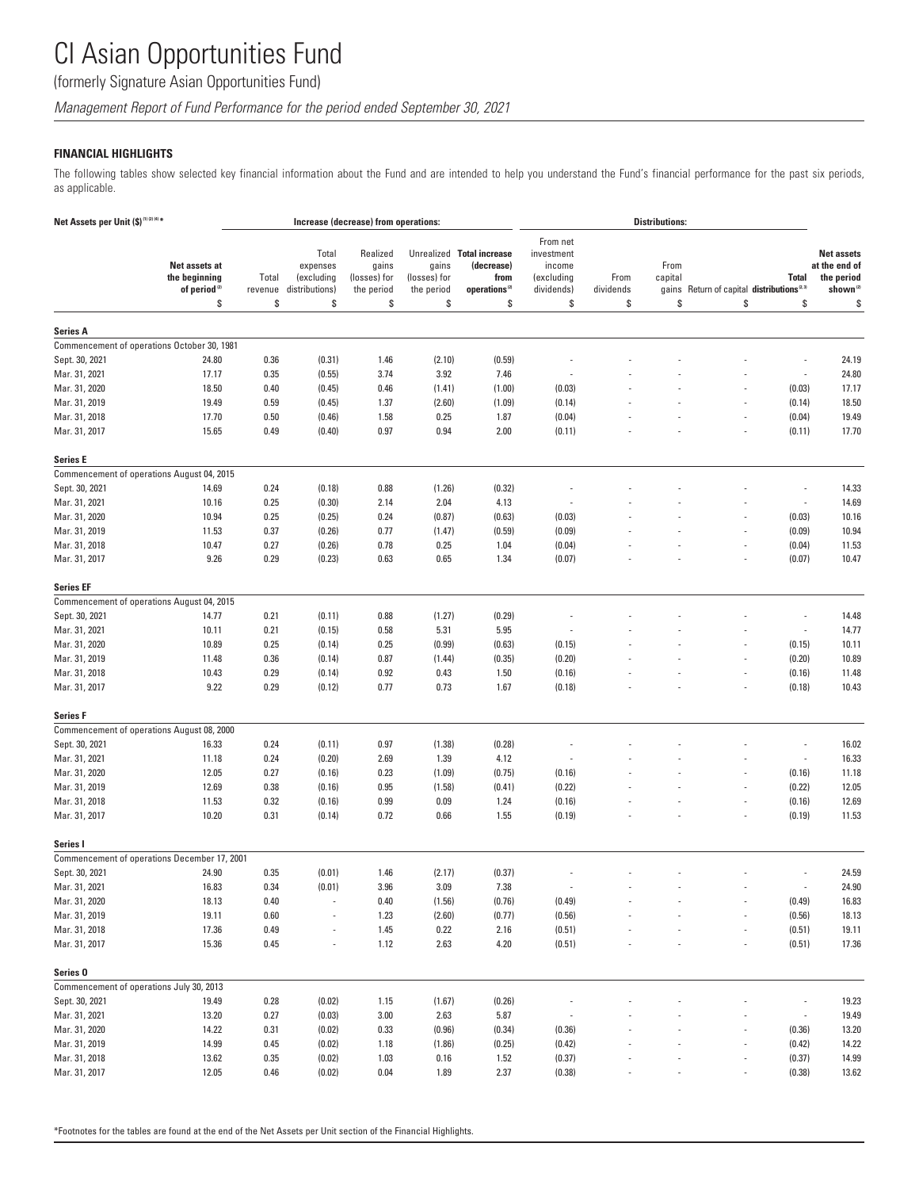(formerly Signature Asian Opportunities Fund)

*Management Report of Fund Performance for the period ended September 30, 2021*

## **FINANCIAL HIGHLIGHTS**

The following tables show selected key financial information about the Fund and are intended to help you understand the Fund's financial performance for the past six periods, as applicable.

| Net Assets per Unit (\$) <sup>(1)(2)(4)*</sup> |                                                            |                  |                                                   | Increase (decrease) from operations:            |                                     |                                                                              |                                                              |                          | <b>Distributions:</b> |                                                      |                          |                                                                          |
|------------------------------------------------|------------------------------------------------------------|------------------|---------------------------------------------------|-------------------------------------------------|-------------------------------------|------------------------------------------------------------------------------|--------------------------------------------------------------|--------------------------|-----------------------|------------------------------------------------------|--------------------------|--------------------------------------------------------------------------|
|                                                | Net assets at<br>the beginning<br>of period <sup>(2)</sup> | Total<br>revenue | Total<br>expenses<br>(excluding<br>distributions) | Realized<br>gains<br>(losses) for<br>the period | gains<br>(losses) for<br>the period | Unrealized Total increase<br>(decrease)<br>from<br>operations <sup>(2)</sup> | From net<br>investment<br>income<br>(excluding<br>dividends) | From<br>dividends        | From<br>capital       | gains Return of capital distributions <sup>2.3</sup> | <b>Total</b>             | <b>Net assets</b><br>at the end of<br>the period<br>shown <sup>(2)</sup> |
|                                                | \$                                                         | \$               | \$                                                | \$                                              | \$                                  | \$                                                                           | \$                                                           | \$                       | \$                    | \$                                                   | \$                       | \$                                                                       |
| <b>Series A</b>                                |                                                            |                  |                                                   |                                                 |                                     |                                                                              |                                                              |                          |                       |                                                      |                          |                                                                          |
|                                                | Commencement of operations October 30, 1981                |                  |                                                   |                                                 |                                     |                                                                              |                                                              |                          |                       |                                                      |                          |                                                                          |
| Sept. 30, 2021                                 | 24.80                                                      | 0.36             | (0.31)                                            | 1.46                                            | (2.10)                              | (0.59)                                                                       |                                                              |                          |                       |                                                      |                          | 24.19                                                                    |
| Mar. 31, 2021                                  | 17.17                                                      | 0.35             | (0.55)                                            | 3.74                                            | 3.92                                | 7.46                                                                         |                                                              |                          |                       |                                                      | $\overline{\phantom{a}}$ | 24.80                                                                    |
| Mar. 31, 2020                                  | 18.50                                                      | 0.40             | (0.45)                                            | 0.46                                            | (1.41)                              | (1.00)                                                                       | (0.03)                                                       |                          |                       |                                                      | (0.03)                   | 17.17                                                                    |
| Mar. 31, 2019                                  | 19.49                                                      | 0.59             | (0.45)                                            | 1.37                                            | (2.60)                              | (1.09)                                                                       | (0.14)                                                       |                          |                       |                                                      | (0.14)                   | 18.50                                                                    |
| Mar. 31, 2018                                  | 17.70                                                      | 0.50             | (0.46)                                            | 1.58                                            | 0.25                                | 1.87                                                                         | (0.04)                                                       |                          |                       |                                                      | (0.04)                   | 19.49                                                                    |
| Mar. 31, 2017                                  | 15.65                                                      | 0.49             | (0.40)                                            | 0.97                                            | 0.94                                | 2.00                                                                         | (0.11)                                                       |                          |                       |                                                      | (0.11)                   | 17.70                                                                    |
|                                                |                                                            |                  |                                                   |                                                 |                                     |                                                                              |                                                              |                          |                       |                                                      |                          |                                                                          |
| <b>Series E</b>                                |                                                            |                  |                                                   |                                                 |                                     |                                                                              |                                                              |                          |                       |                                                      |                          |                                                                          |
| Commencement of operations August 04, 2015     |                                                            |                  |                                                   |                                                 |                                     |                                                                              |                                                              |                          |                       |                                                      |                          |                                                                          |
| Sept. 30, 2021                                 | 14.69                                                      | 0.24             | (0.18)                                            | 0.88                                            | (1.26)                              | (0.32)                                                                       |                                                              |                          |                       |                                                      |                          | 14.33                                                                    |
| Mar. 31, 2021                                  | 10.16                                                      | 0.25             | (0.30)                                            | 2.14                                            | 2.04                                | 4.13                                                                         |                                                              |                          |                       |                                                      | $\overline{\phantom{a}}$ | 14.69                                                                    |
| Mar. 31, 2020                                  | 10.94                                                      | 0.25             | (0.25)                                            | 0.24                                            | (0.87)                              | (0.63)                                                                       | (0.03)                                                       |                          |                       |                                                      | (0.03)                   | 10.16                                                                    |
| Mar. 31, 2019                                  | 11.53                                                      | 0.37             | (0.26)                                            | 0.77                                            | (1.47)                              | (0.59)                                                                       | (0.09)                                                       |                          |                       |                                                      | (0.09)                   | 10.94                                                                    |
| Mar. 31, 2018                                  | 10.47                                                      | 0.27             | (0.26)                                            | 0.78                                            | 0.25                                | 1.04                                                                         | (0.04)                                                       |                          |                       |                                                      | (0.04)                   | 11.53                                                                    |
| Mar. 31, 2017                                  | 9.26                                                       | 0.29             | (0.23)                                            | 0.63                                            | 0.65                                | 1.34                                                                         | (0.07)                                                       |                          |                       |                                                      | (0.07)                   | 10.47                                                                    |
| <b>Series EF</b>                               |                                                            |                  |                                                   |                                                 |                                     |                                                                              |                                                              |                          |                       |                                                      |                          |                                                                          |
| Commencement of operations August 04, 2015     |                                                            |                  |                                                   |                                                 |                                     |                                                                              |                                                              |                          |                       |                                                      |                          |                                                                          |
| Sept. 30, 2021                                 | 14.77                                                      | 0.21             | (0.11)                                            | 0.88                                            | (1.27)                              | (0.29)                                                                       |                                                              |                          |                       |                                                      |                          | 14.48                                                                    |
| Mar. 31, 2021                                  | 10.11                                                      | 0.21             | (0.15)                                            | 0.58                                            | 5.31                                | 5.95                                                                         |                                                              |                          |                       |                                                      | $\overline{\phantom{a}}$ | 14.77                                                                    |
| Mar. 31, 2020                                  | 10.89                                                      | 0.25             | (0.14)                                            | 0.25                                            | (0.99)                              | (0.63)                                                                       | (0.15)                                                       |                          |                       |                                                      | (0.15)                   | 10.11                                                                    |
| Mar. 31, 2019                                  | 11.48                                                      | 0.36             | (0.14)                                            | 0.87                                            | (1.44)                              | (0.35)                                                                       | (0.20)                                                       |                          |                       |                                                      | (0.20)                   | 10.89                                                                    |
| Mar. 31, 2018                                  | 10.43                                                      | 0.29             | (0.14)                                            | 0.92                                            | 0.43                                | 1.50                                                                         | (0.16)                                                       |                          |                       |                                                      | (0.16)                   | 11.48                                                                    |
| Mar. 31, 2017                                  | 9.22                                                       | 0.29             | (0.12)                                            | 0.77                                            | 0.73                                | 1.67                                                                         | (0.18)                                                       |                          |                       |                                                      | (0.18)                   | 10.43                                                                    |
|                                                |                                                            |                  |                                                   |                                                 |                                     |                                                                              |                                                              |                          |                       |                                                      |                          |                                                                          |
| Series F                                       |                                                            |                  |                                                   |                                                 |                                     |                                                                              |                                                              |                          |                       |                                                      |                          |                                                                          |
| Commencement of operations August 08, 2000     |                                                            |                  |                                                   |                                                 |                                     |                                                                              |                                                              |                          |                       |                                                      |                          |                                                                          |
| Sept. 30, 2021                                 | 16.33                                                      | 0.24             | (0.11)                                            | 0.97                                            | (1.38)                              | (0.28)                                                                       |                                                              |                          |                       |                                                      |                          | 16.02                                                                    |
| Mar. 31, 2021                                  | 11.18                                                      | 0.24             | (0.20)                                            | 2.69                                            | 1.39                                | 4.12                                                                         |                                                              |                          |                       |                                                      |                          | 16.33                                                                    |
| Mar. 31, 2020                                  | 12.05                                                      | 0.27             | (0.16)                                            | 0.23                                            | (1.09)                              | (0.75)                                                                       | (0.16)                                                       |                          |                       |                                                      | (0.16)                   | 11.18                                                                    |
| Mar. 31, 2019                                  | 12.69                                                      | 0.38             | (0.16)                                            | 0.95                                            | (1.58)                              | (0.41)                                                                       | (0.22)                                                       |                          |                       |                                                      | (0.22)                   | 12.05                                                                    |
| Mar. 31, 2018                                  | 11.53                                                      | 0.32             | (0.16)                                            | 0.99                                            | 0.09                                | 1.24                                                                         | (0.16)                                                       |                          |                       |                                                      | (0.16)                   | 12.69                                                                    |
| Mar. 31, 2017                                  | 10.20                                                      | 0.31             | (0.14)                                            | 0.72                                            | 0.66                                | 1.55                                                                         | (0.19)                                                       |                          |                       |                                                      | (0.19)                   | 11.53                                                                    |
| Series I                                       |                                                            |                  |                                                   |                                                 |                                     |                                                                              |                                                              |                          |                       |                                                      |                          |                                                                          |
|                                                | Commencement of operations December 17, 2001               |                  |                                                   |                                                 |                                     |                                                                              |                                                              |                          |                       |                                                      |                          |                                                                          |
| Sept. 30, 2021                                 | 24.90                                                      | 0.35             | (0.01)                                            | 1.46                                            | (2.17)                              | (0.37)                                                                       |                                                              |                          |                       |                                                      |                          | 24.59                                                                    |
| Mar. 31, 2021                                  | 16.83                                                      | 0.34             | (0.01)                                            | 3.96                                            | 3.09                                | 7.38                                                                         |                                                              |                          |                       |                                                      |                          | 24.90                                                                    |
| Mar. 31, 2020                                  | 18.13                                                      | 0.40             |                                                   | 0.40                                            | (1.56)                              | (0.76)                                                                       | (0.49)                                                       |                          |                       |                                                      | (0.49)                   | 16.83                                                                    |
| Mar. 31, 2019                                  | 19.11                                                      | 0.60             |                                                   | 1.23                                            | (2.60)                              | (0.77)                                                                       | (0.56)                                                       |                          |                       |                                                      | (0.56)                   | 18.13                                                                    |
| Mar. 31, 2018                                  | 17.36                                                      | 0.49             |                                                   | 1.45                                            | 0.22                                | 2.16                                                                         | (0.51)                                                       |                          |                       |                                                      | (0.51)                   | 19.11                                                                    |
| Mar. 31, 2017                                  | 15.36                                                      | 0.45             |                                                   | 1.12                                            | 2.63                                | 4.20                                                                         | (0.51)                                                       |                          |                       |                                                      | (0.51)                   | 17.36                                                                    |
|                                                |                                                            |                  |                                                   |                                                 |                                     |                                                                              |                                                              |                          |                       |                                                      |                          |                                                                          |
| Series <sub>0</sub>                            |                                                            |                  |                                                   |                                                 |                                     |                                                                              |                                                              |                          |                       |                                                      |                          |                                                                          |
| Commencement of operations July 30, 2013       |                                                            |                  |                                                   |                                                 |                                     |                                                                              |                                                              |                          |                       |                                                      |                          |                                                                          |
| Sept. 30, 2021                                 | 19.49                                                      | 0.28             | (0.02)                                            | 1.15                                            | (1.67)                              | (0.26)                                                                       |                                                              |                          |                       |                                                      | $\overline{\phantom{a}}$ | 19.23                                                                    |
| Mar. 31, 2021                                  | 13.20                                                      | 0.27             | (0.03)                                            | $3.00\,$                                        | 2.63                                | 5.87                                                                         |                                                              |                          |                       |                                                      |                          | 19.49                                                                    |
| Mar. 31, 2020<br>Mar. 31, 2019                 | 14.22                                                      | 0.31             | (0.02)                                            | 0.33                                            | (0.96)                              | (0.34)                                                                       | (0.36)                                                       |                          |                       |                                                      | (0.36)                   | 13.20                                                                    |
| Mar. 31, 2018                                  | 14.99<br>13.62                                             | 0.45<br>0.35     | (0.02)<br>(0.02)                                  | 1.18<br>1.03                                    | (1.86)<br>0.16                      | (0.25)<br>1.52                                                               | (0.42)<br>(0.37)                                             |                          |                       |                                                      | (0.42)<br>(0.37)         | 14.22<br>14.99                                                           |
| Mar. 31, 2017                                  | 12.05                                                      | 0.46             | (0.02)                                            | 0.04                                            | 1.89                                | 2.37                                                                         | (0.38)                                                       | $\overline{\phantom{a}}$ |                       | $\overline{\phantom{a}}$                             | (0.38)                   | 13.62                                                                    |
|                                                |                                                            |                  |                                                   |                                                 |                                     |                                                                              |                                                              |                          |                       |                                                      |                          |                                                                          |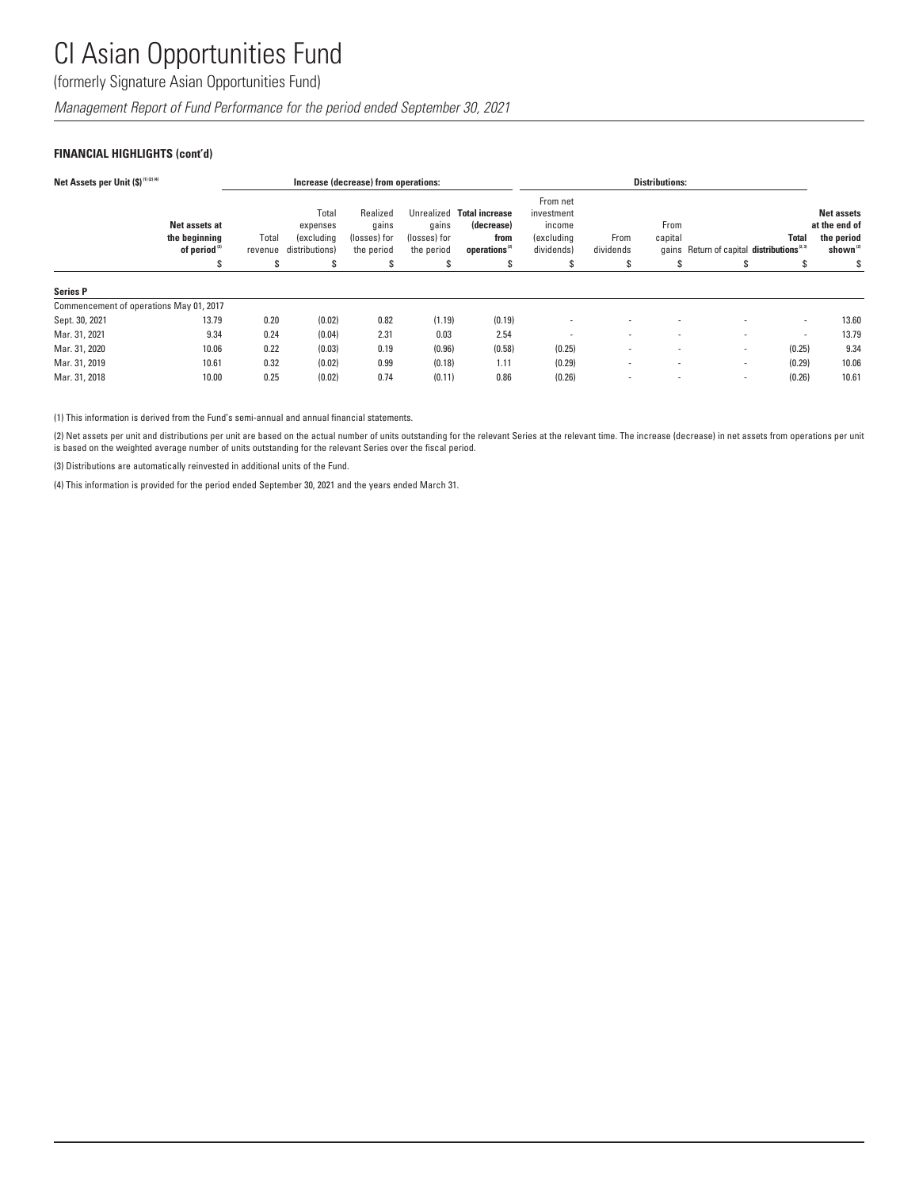(formerly Signature Asian Opportunities Fund)

*Management Report of Fund Performance for the period ended September 30, 2021*

## **FINANCIAL HIGHLIGHTS (cont'd)**

| Net Assets per Unit (\$)(1)(2)(4)       |                                                            |                  |                                                   | Increase (decrease) from operations:            |                                                   |                                                                          |                                                                     |                   | <b>Distributions:</b> |                                                       |                          |                                                                          |
|-----------------------------------------|------------------------------------------------------------|------------------|---------------------------------------------------|-------------------------------------------------|---------------------------------------------------|--------------------------------------------------------------------------|---------------------------------------------------------------------|-------------------|-----------------------|-------------------------------------------------------|--------------------------|--------------------------------------------------------------------------|
|                                         | Net assets at<br>the beginning<br>of period <sup>(2)</sup> | Total<br>revenue | Total<br>expenses<br>(excluding<br>distributions) | Realized<br>qains<br>(losses) for<br>the period | Unrealized<br>qains<br>(losses) for<br>the period | <b>Total increase</b><br>(decrease)<br>from<br>operations <sup>(2)</sup> | From net<br>investment<br>income<br><i>(excluding</i><br>dividends) | From<br>dividends | From<br>capital       | gains Return of capital distributions <sup>2.31</sup> | Total                    | <b>Net assets</b><br>at the end of<br>the period<br>shown <sup>(2)</sup> |
|                                         | \$                                                         | s                | S                                                 | S                                               | \$                                                | s                                                                        | S                                                                   | \$                | S                     | \$                                                    | s                        | S                                                                        |
| <b>Series P</b>                         |                                                            |                  |                                                   |                                                 |                                                   |                                                                          |                                                                     |                   |                       |                                                       |                          |                                                                          |
| Commencement of operations May 01, 2017 |                                                            |                  |                                                   |                                                 |                                                   |                                                                          |                                                                     |                   |                       |                                                       |                          |                                                                          |
| Sept. 30, 2021                          | 13.79                                                      | 0.20             | (0.02)                                            | 0.82                                            | (1.19)                                            | (0.19)                                                                   |                                                                     |                   |                       |                                                       | $\sim$                   | 13.60                                                                    |
| Mar. 31, 2021                           | 9.34                                                       | 0.24             | (0.04)                                            | 2.31                                            | 0.03                                              | 2.54                                                                     |                                                                     | ٠                 | ٠                     |                                                       | $\overline{\phantom{a}}$ | 13.79                                                                    |
| Mar. 31, 2020                           | 10.06                                                      | 0.22             | (0.03)                                            | 0.19                                            | (0.96)                                            | (0.58)                                                                   | (0.25)                                                              | ٠                 |                       | $\sim$                                                | (0.25)                   | 9.34                                                                     |
| Mar. 31, 2019                           | 10.61                                                      | 0.32             | (0.02)                                            | 0.99                                            | (0.18)                                            | 1.11                                                                     | (0.29)                                                              | ٠                 |                       | $\overline{\phantom{a}}$                              | (0.29)                   | 10.06                                                                    |
| Mar. 31, 2018                           | 10.00                                                      | 0.25             | (0.02)                                            | 0.74                                            | (0.11)                                            | 0.86                                                                     | (0.26)                                                              |                   |                       | $\overline{\phantom{a}}$                              | (0.26)                   | 10.61                                                                    |

(1) This information is derived from the Fund's semi-annual and annual financial statements.

(2) Net assets per unit and distributions per unit are based on the actual number of units outstanding for the relevant Series at the relevant time. The increase (decrease) in net assets from operations per unit is based on the weighted average number of units outstanding for the relevant Series over the fiscal period.

(3) Distributions are automatically reinvested in additional units of the Fund.

(4) This information is provided for the period ended September 30, 2021 and the years ended March 31.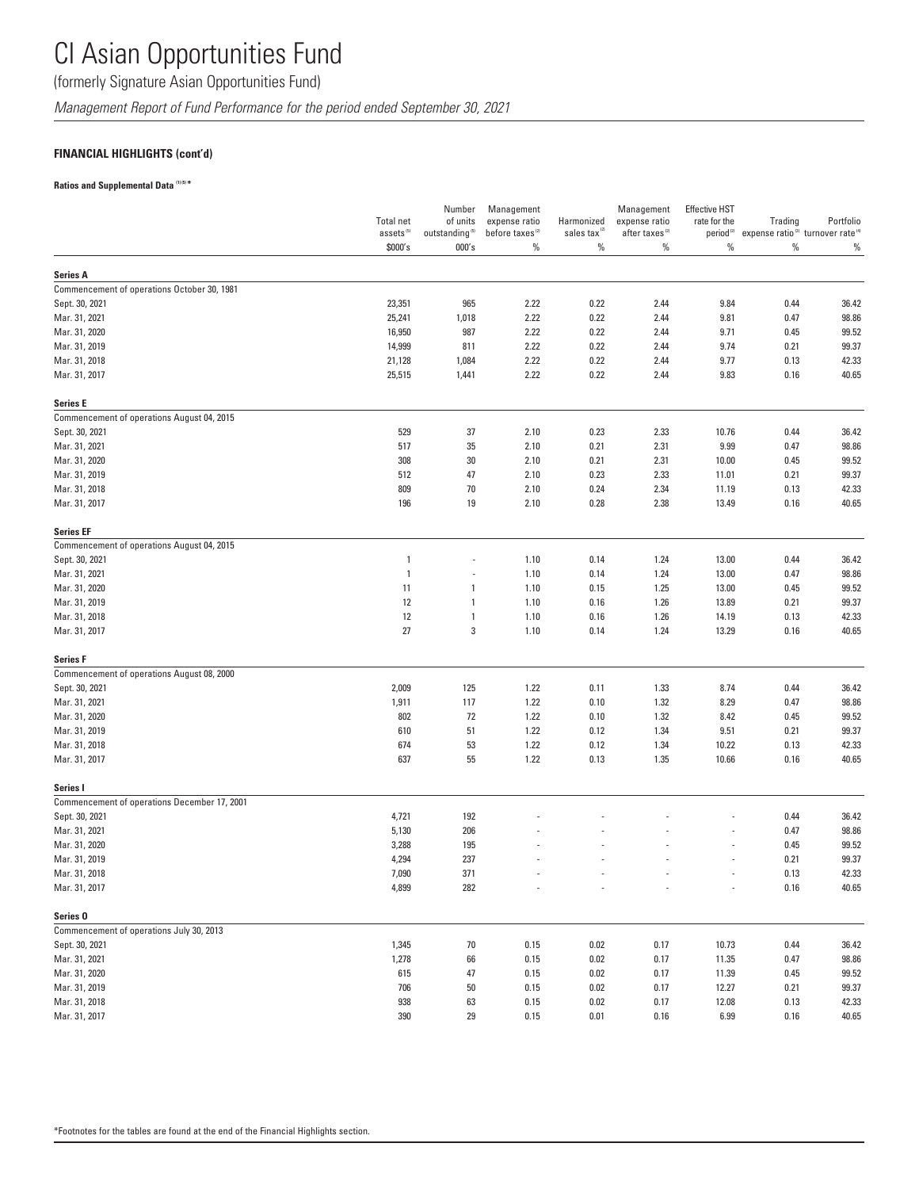(formerly Signature Asian Opportunities Fund)

*Management Report of Fund Performance for the period ended September 30, 2021*

## **FINANCIAL HIGHLIGHTS (cont'd)**

## **Ratios and Supplemental Data (1) (5) \***

|                                                                 |                                           | Number                                               | Management                                   |                                        | Management                                  | <b>Effective HST</b> |                                                                                            |                |
|-----------------------------------------------------------------|-------------------------------------------|------------------------------------------------------|----------------------------------------------|----------------------------------------|---------------------------------------------|----------------------|--------------------------------------------------------------------------------------------|----------------|
|                                                                 | <b>Total net</b><br>assets <sup>(5)</sup> | of units<br>outstanding $^{\scriptscriptstyle{(5)}}$ | expense ratio<br>before taxes <sup>(2)</sup> | Harmonized<br>sales tax <sup>(2)</sup> | expense ratio<br>after taxes <sup>(2)</sup> | rate for the         | Trading<br>period <sup>(2)</sup> expense ratio <sup>(3)</sup> turnover rate <sup>(4)</sup> | Portfolio      |
|                                                                 | \$000's                                   | 000's                                                | $\%$                                         | $\%$                                   | $\%$                                        | $\%$                 | $\%$                                                                                       | $\%$           |
| <b>Series A</b>                                                 |                                           |                                                      |                                              |                                        |                                             |                      |                                                                                            |                |
| Commencement of operations October 30, 1981                     |                                           |                                                      |                                              |                                        |                                             |                      |                                                                                            |                |
| Sept. 30, 2021                                                  | 23,351                                    | 965                                                  | 2.22                                         | 0.22                                   | 2.44                                        | 9.84                 | 0.44                                                                                       | 36.42          |
| Mar. 31, 2021                                                   | 25,241                                    | 1,018                                                | 2.22                                         | 0.22                                   | 2.44                                        | 9.81                 | 0.47                                                                                       | 98.86          |
| Mar. 31, 2020                                                   | 16,950                                    | 987                                                  | 2.22                                         | 0.22                                   | 2.44                                        | 9.71                 | 0.45                                                                                       | 99.52          |
| Mar. 31, 2019                                                   | 14,999                                    | 811                                                  | 2.22                                         | 0.22                                   | 2.44                                        | 9.74                 | 0.21                                                                                       | 99.37          |
| Mar. 31, 2018                                                   | 21,128                                    | 1,084                                                | 2.22                                         | 0.22                                   | 2.44                                        | 9.77                 | 0.13                                                                                       | 42.33          |
| Mar. 31, 2017                                                   | 25,515                                    | 1,441                                                | 2.22                                         | 0.22                                   | 2.44                                        | 9.83                 | 0.16                                                                                       | 40.65          |
| <b>Series E</b>                                                 |                                           |                                                      |                                              |                                        |                                             |                      |                                                                                            |                |
| Commencement of operations August 04, 2015                      |                                           |                                                      |                                              |                                        |                                             |                      |                                                                                            |                |
| Sept. 30, 2021                                                  | 529                                       | 37                                                   | 2.10                                         | 0.23                                   | 2.33                                        | 10.76                | 0.44                                                                                       | 36.42          |
| Mar. 31, 2021                                                   | 517                                       | 35                                                   | 2.10                                         | 0.21                                   | 2.31                                        | 9.99                 | 0.47                                                                                       | 98.86          |
| Mar. 31, 2020                                                   | 308                                       | 30                                                   | 2.10                                         | 0.21                                   | 2.31                                        | 10.00                | 0.45                                                                                       | 99.52          |
| Mar. 31, 2019                                                   | 512                                       | 47                                                   | 2.10                                         | 0.23                                   | 2.33                                        | 11.01                | 0.21                                                                                       | 99.37          |
| Mar. 31, 2018                                                   | 809                                       | 70                                                   | 2.10                                         | 0.24                                   | 2.34                                        | 11.19                | 0.13                                                                                       | 42.33          |
| Mar. 31, 2017                                                   | 196                                       | 19                                                   | 2.10                                         | 0.28                                   | 2.38                                        | 13.49                | 0.16                                                                                       | 40.65          |
| <b>Series EF</b>                                                |                                           |                                                      |                                              |                                        |                                             |                      |                                                                                            |                |
| Commencement of operations August 04, 2015                      |                                           |                                                      |                                              |                                        |                                             |                      |                                                                                            |                |
| Sept. 30, 2021                                                  | $\overline{1}$                            |                                                      | 1.10                                         | 0.14                                   | 1.24                                        | 13.00                | 0.44                                                                                       | 36.42          |
| Mar. 31, 2021                                                   | $\overline{1}$                            |                                                      | 1.10                                         | 0.14                                   | 1.24                                        | 13.00                | 0.47                                                                                       | 98.86          |
| Mar. 31, 2020                                                   | 11                                        | 1                                                    | 1.10                                         | 0.15                                   | 1.25                                        | 13.00                | 0.45                                                                                       | 99.52          |
| Mar. 31, 2019                                                   | 12                                        | 1                                                    | 1.10                                         | 0.16                                   | 1.26                                        | 13.89                | 0.21                                                                                       | 99.37          |
| Mar. 31, 2018                                                   | 12                                        | 1                                                    | 1.10                                         | 0.16                                   | 1.26                                        | 14.19                | 0.13                                                                                       | 42.33          |
| Mar. 31, 2017                                                   | 27                                        | 3                                                    | 1.10                                         | 0.14                                   | 1.24                                        | 13.29                | 0.16                                                                                       | 40.65          |
| <b>Series F</b>                                                 |                                           |                                                      |                                              |                                        |                                             |                      |                                                                                            |                |
| Commencement of operations August 08, 2000                      |                                           |                                                      |                                              |                                        |                                             |                      |                                                                                            |                |
| Sept. 30, 2021                                                  | 2,009                                     | 125                                                  | 1.22                                         | 0.11                                   | 1.33                                        | 8.74                 | 0.44                                                                                       | 36.42          |
| Mar. 31, 2021                                                   | 1,911                                     | 117                                                  | 1.22                                         | 0.10                                   | 1.32                                        | 8.29                 | 0.47                                                                                       | 98.86          |
| Mar. 31, 2020                                                   | 802                                       | 72                                                   | 1.22                                         | 0.10                                   | 1.32                                        | 8.42                 | 0.45                                                                                       | 99.52          |
| Mar. 31, 2019                                                   | 610                                       | 51                                                   | 1.22                                         | 0.12                                   | 1.34                                        | 9.51                 | 0.21                                                                                       | 99.37          |
| Mar. 31, 2018                                                   | 674                                       | 53                                                   | 1.22                                         | 0.12                                   | 1.34                                        | 10.22                | 0.13                                                                                       | 42.33          |
| Mar. 31, 2017                                                   | 637                                       | 55                                                   | 1.22                                         | 0.13                                   | 1.35                                        | 10.66                | 0.16                                                                                       | 40.65          |
| Series I                                                        |                                           |                                                      |                                              |                                        |                                             |                      |                                                                                            |                |
| Commencement of operations December 17, 2001<br>Sept. 30, 2021  |                                           | 192                                                  |                                              |                                        |                                             |                      |                                                                                            | 36.42          |
|                                                                 | 4,721                                     |                                                      |                                              |                                        |                                             |                      | 0.44                                                                                       |                |
| Mar. 31, 2021                                                   | 5,130                                     | 206                                                  |                                              |                                        |                                             |                      | 0.47                                                                                       | 98.86          |
| Mar. 31, 2020                                                   | 3,288                                     | 195                                                  |                                              |                                        |                                             |                      | 0.45                                                                                       | 99.52          |
| Mar. 31, 2019                                                   | 4,294                                     | 237                                                  |                                              |                                        |                                             |                      | 0.21                                                                                       | 99.37          |
| Mar. 31, 2018<br>Mar. 31, 2017                                  | 7,090<br>4,899                            | 371<br>282                                           |                                              |                                        |                                             |                      | 0.13<br>0.16                                                                               | 42.33<br>40.65 |
|                                                                 |                                           |                                                      |                                              |                                        |                                             |                      |                                                                                            |                |
| Series <sub>0</sub><br>Commencement of operations July 30, 2013 |                                           |                                                      |                                              |                                        |                                             |                      |                                                                                            |                |
| Sept. 30, 2021                                                  | 1,345                                     | 70                                                   | 0.15                                         | 0.02                                   | 0.17                                        | 10.73                | 0.44                                                                                       | 36.42          |
| Mar. 31, 2021                                                   | 1,278                                     | 66                                                   | 0.15                                         | 0.02                                   | 0.17                                        | 11.35                | 0.47                                                                                       | 98.86          |
| Mar. 31, 2020                                                   | 615                                       | 47                                                   | 0.15                                         | 0.02                                   | 0.17                                        | 11.39                | 0.45                                                                                       | 99.52          |
| Mar. 31, 2019                                                   | 706                                       | 50                                                   | 0.15                                         | 0.02                                   | 0.17                                        | 12.27                | 0.21                                                                                       | 99.37          |
| Mar. 31, 2018                                                   | 938                                       | 63                                                   | 0.15                                         | 0.02                                   | 0.17                                        | 12.08                | 0.13                                                                                       | 42.33          |
| Mar. 31, 2017                                                   | 390                                       | 29                                                   | 0.15                                         | 0.01                                   | 0.16                                        | 6.99                 | 0.16                                                                                       | 40.65          |
|                                                                 |                                           |                                                      |                                              |                                        |                                             |                      |                                                                                            |                |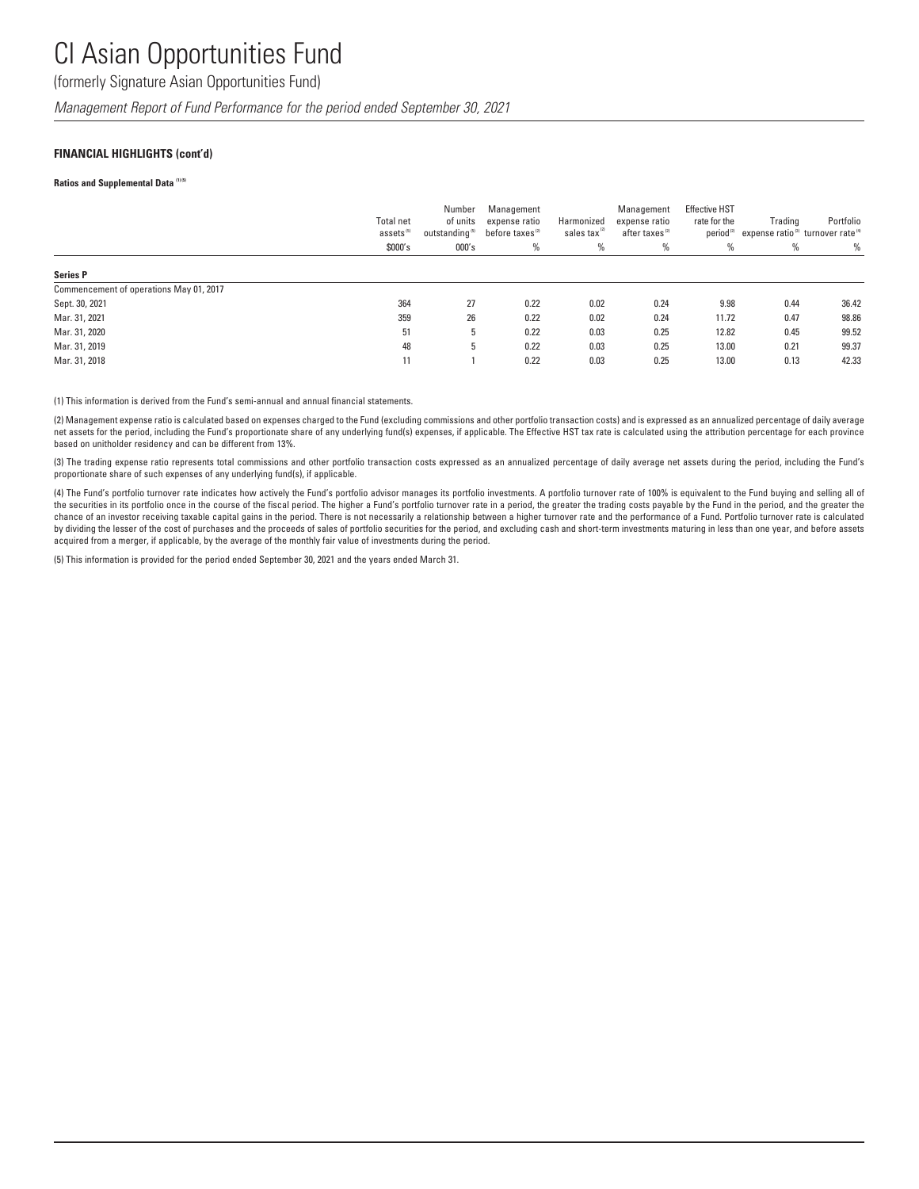(formerly Signature Asian Opportunities Fund)

*Management Report of Fund Performance for the period ended September 30, 2021*

### **FINANCIAL HIGHLIGHTS (cont'd)**

#### **Ratios and Supplemental Data (1) (5)**

|                                         | <b>Total net</b><br>assets <sup>(5)</sup><br>\$000's | Number<br>of units<br>outstanding <sup>(5)</sup><br>000's | Management<br>expense ratio<br>before taxes <sup>(2)</sup><br>% | Harmonized<br>sales tax<br>% | Management<br>expense ratio<br>after taxes <sup>(2)</sup><br>$\%$ | <b>Effective HST</b><br>rate for the<br>% | Trading<br>period <sup>(2)</sup> expense ratio <sup>(3)</sup> turnover rate <sup>(4)</sup><br>% | Portfolio<br>$\%$ |
|-----------------------------------------|------------------------------------------------------|-----------------------------------------------------------|-----------------------------------------------------------------|------------------------------|-------------------------------------------------------------------|-------------------------------------------|-------------------------------------------------------------------------------------------------|-------------------|
| <b>Series P</b>                         |                                                      |                                                           |                                                                 |                              |                                                                   |                                           |                                                                                                 |                   |
| Commencement of operations May 01, 2017 |                                                      |                                                           |                                                                 |                              |                                                                   |                                           |                                                                                                 |                   |
| Sept. 30, 2021                          | 364                                                  | 27                                                        | 0.22                                                            | 0.02                         | 0.24                                                              | 9.98                                      | 0.44                                                                                            | 36.42             |
| Mar. 31, 2021                           | 359                                                  | 26                                                        | 0.22                                                            | 0.02                         | 0.24                                                              | 11.72                                     | 0.47                                                                                            | 98.86             |
| Mar. 31, 2020                           | 51                                                   | 5                                                         | 0.22                                                            | 0.03                         | 0.25                                                              | 12.82                                     | 0.45                                                                                            | 99.52             |
| Mar. 31, 2019                           | 48                                                   | 5                                                         | 0.22                                                            | 0.03                         | 0.25                                                              | 13.00                                     | 0.21                                                                                            | 99.37             |
| Mar. 31, 2018                           | 11                                                   |                                                           | 0.22                                                            | 0.03                         | 0.25                                                              | 13.00                                     | 0.13                                                                                            | 42.33             |

(1) This information is derived from the Fund's semi-annual and annual financial statements.

(2) Management expense ratio is calculated based on expenses charged to the Fund (excluding commissions and other portfolio transaction costs) and is expressed as an annualized percentage of daily average net assets for the period, including the Fund's proportionate share of any underlying fund(s) expenses, if applicable. The Effective HST tax rate is calculated using the attribution percentage for each province based on unitholder residency and can be different from 13%.

(3) The trading expense ratio represents total commissions and other portfolio transaction costs expressed as an annualized percentage of daily average net assets during the period, including the Fund's proportionate share of such expenses of any underlying fund(s), if applicable.

(4) The Fund's portfolio turnover rate indicates how actively the Fund's portfolio advisor manages its portfolio investments. A portfolio turnover rate of 100% is equivalent to the Fund buying and selling all of the securities in its portfolio once in the course of the fiscal period. The higher a Fund's portfolio turnover rate in a period, the greater the trading costs payable by the Fund in the period, and the greater the chance of an investor receiving taxable capital gains in the period. There is not necessarily a relationship between a higher turnover rate and the performance of a Fund. Portfolio turnover rate is calculated by dividing the lesser of the cost of purchases and the proceeds of sales of portfolio securities for the period, and excluding cash and short-term investments maturing in less than one year, and before assets acquired from a merger, if applicable, by the average of the monthly fair value of investments during the period.

(5) This information is provided for the period ended September 30, 2021 and the years ended March 31.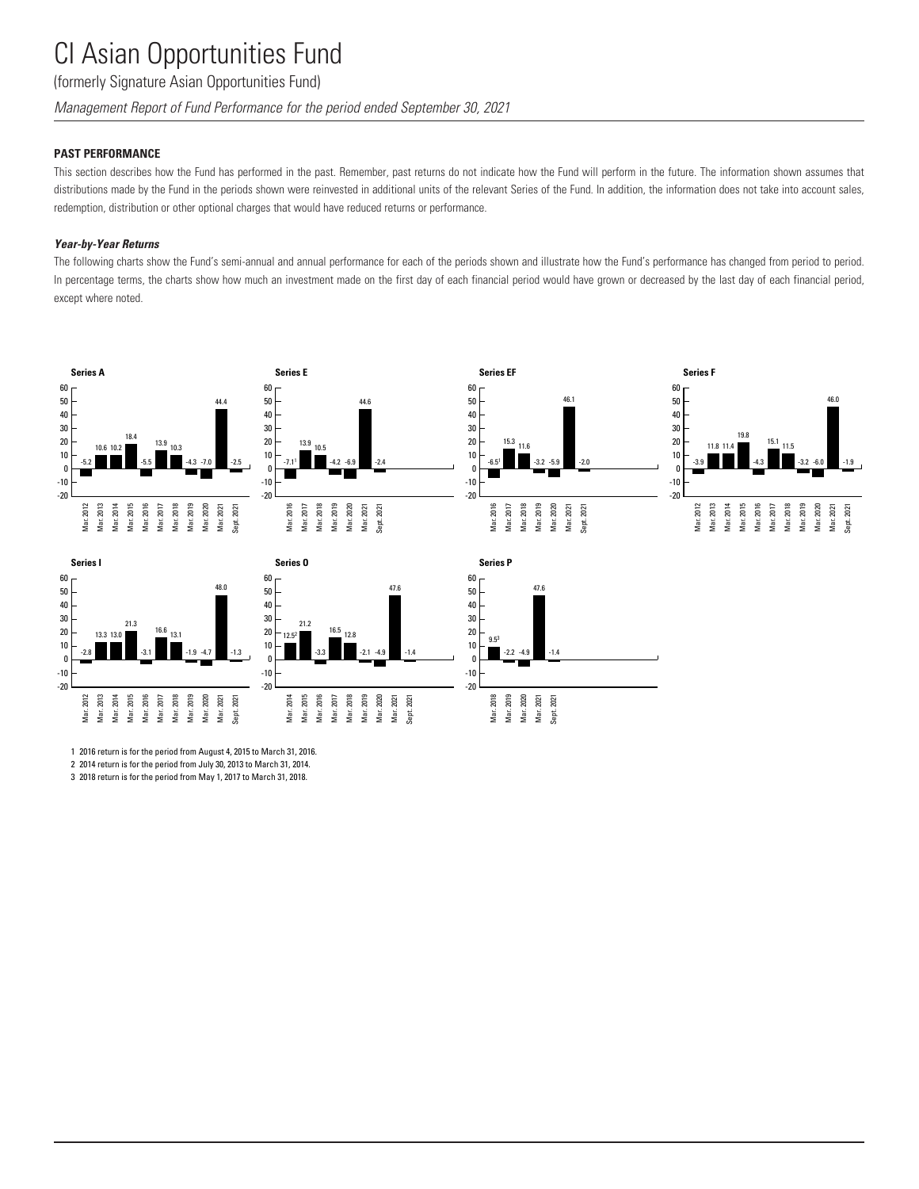(formerly Signature Asian Opportunities Fund)

*Management Report of Fund Performance for the period ended September 30, 2021*

## **PAST PERFORMANCE**

This section describes how the Fund has performed in the past. Remember, past returns do not indicate how the Fund will perform in the future. The information shown assumes that distributions made by the Fund in the periods shown were reinvested in additional units of the relevant Series of the Fund. In addition, the information does not take into account sales, redemption, distribution or other optional charges that would have reduced returns or performance.

### *Year-by-Year Returns*

The following charts show the Fund's semi-annual and annual performance for each of the periods shown and illustrate how the Fund's performance has changed from period to period. In percentage terms, the charts show how much an investment made on the first day of each financial period would have grown or decreased by the last day of each financial period, except where noted.





1 2016 return is for the period from August 4, 2015 to March 31, 2016. 2 2014 return is for the period from July 30, 2013 to March 31, 2014. 3 2018 return is for the period from May 1, 2017 to March 31, 2018.